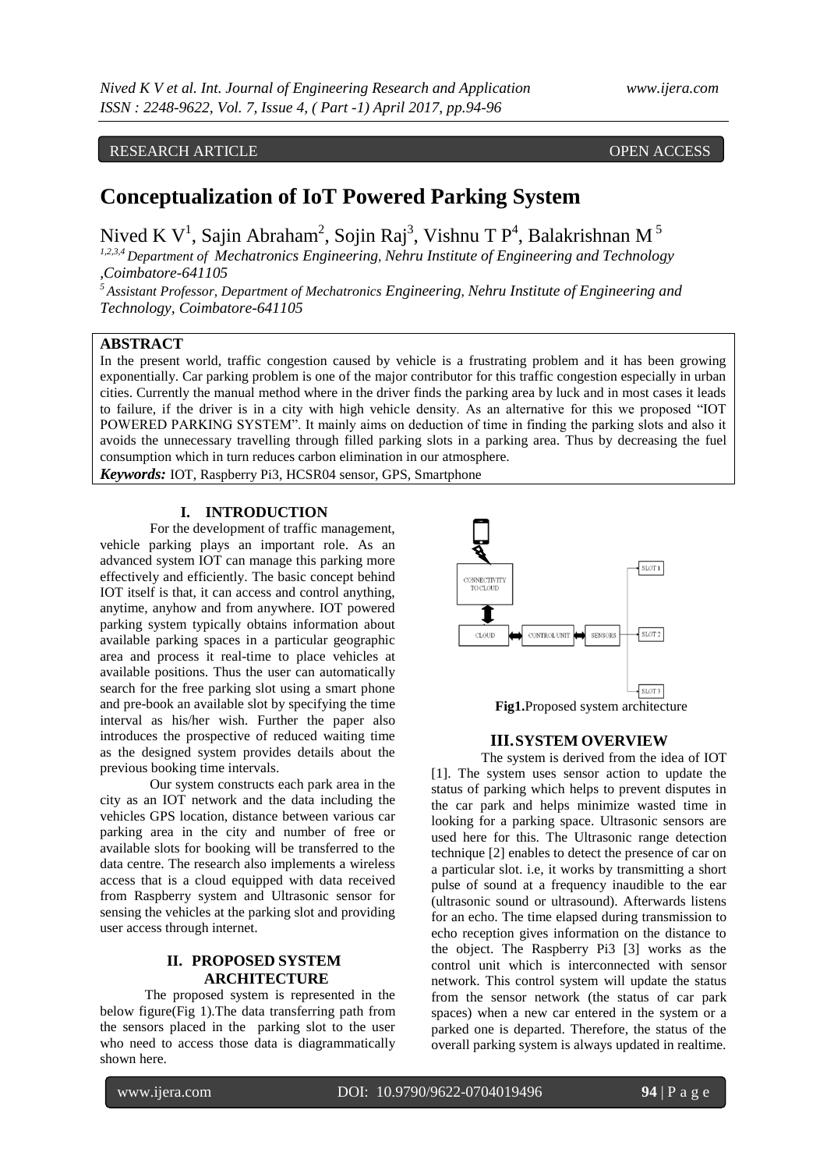# RESEARCH ARTICLE OPEN ACCESS

# **Conceptualization of IoT Powered Parking System**

Nived K $V^1$ , Sajin Abraham<sup>2</sup>, Sojin Raj<sup>3</sup>, Vishnu T P<sup>4</sup>, Balakrishnan M<sup>5</sup> *1,2,3,4 Department of Mechatronics Engineering, Nehru Institute of Engineering and Technology ,Coimbatore-641105*

*<sup>5</sup>Assistant Professor, Department of Mechatronics Engineering, Nehru Institute of Engineering and Technology, Coimbatore-641105*

# **ABSTRACT**

In the present world, traffic congestion caused by vehicle is a frustrating problem and it has been growing exponentially. Car parking problem is one of the major contributor for this traffic congestion especially in urban cities. Currently the manual method where in the driver finds the parking area by luck and in most cases it leads to failure, if the driver is in a city with high vehicle density. As an alternative for this we proposed "IOT POWERED PARKING SYSTEM". It mainly aims on deduction of time in finding the parking slots and also it avoids the unnecessary travelling through filled parking slots in a parking area. Thus by decreasing the fuel consumption which in turn reduces carbon elimination in our atmosphere.

*Keywords:* IOT, Raspberry Pi3, HCSR04 sensor, GPS, Smartphone

### **I. INTRODUCTION**

For the development of traffic management, vehicle parking plays an important role. As an advanced system IOT can manage this parking more effectively and efficiently. The basic concept behind IOT itself is that, it can access and control anything, anytime, anyhow and from anywhere. IOT powered parking system typically obtains information about available parking spaces in a particular geographic area and process it real-time to place vehicles at available positions. Thus the user can automatically search for the free parking slot using a smart phone and pre-book an available slot by specifying the time interval as his/her wish. Further the paper also introduces the prospective of reduced waiting time as the designed system provides details about the previous booking time intervals.

Our system constructs each park area in the city as an IOT network and the data including the vehicles GPS location, distance between various car parking area in the city and number of free or available slots for booking will be transferred to the data centre. The research also implements a wireless access that is a cloud equipped with data received from Raspberry system and Ultrasonic sensor for sensing the vehicles at the parking slot and providing user access through internet.

# **II. PROPOSED SYSTEM ARCHITECTURE**

 The proposed system is represented in the below figure(Fig 1).The data transferring path from the sensors placed in the parking slot to the user who need to access those data is diagrammatically shown here.



## **III.SYSTEM OVERVIEW**

The system is derived from the idea of IOT [1]. The system uses sensor action to update the status of parking which helps to prevent disputes in the car park and helps minimize wasted time in looking for a parking space. Ultrasonic sensors are used here for this. The Ultrasonic range detection technique [2] enables to detect the presence of car on a particular slot. i.e, it works by transmitting a short pulse of sound at a frequency inaudible to the ear (ultrasonic sound or ultrasound). Afterwards listens for an echo. The time elapsed during transmission to echo reception gives information on the distance to the object. The Raspberry Pi3 [3] works as the control unit which is interconnected with sensor network. This control system will update the status from the sensor network (the status of car park spaces) when a new car entered in the system or a parked one is departed. Therefore, the status of the overall parking system is always updated in realtime.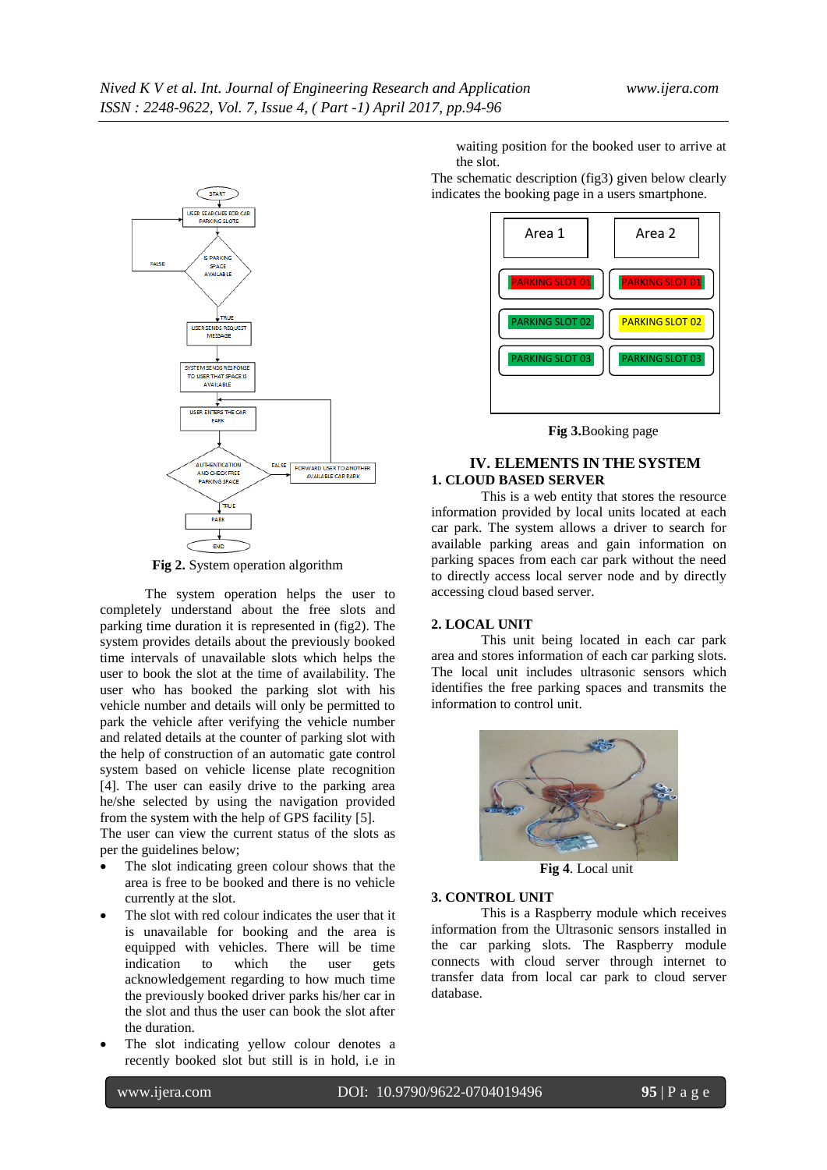

**Fig 2.** System operation algorithm

 The system operation helps the user to completely understand about the free slots and parking time duration it is represented in (fig2). The system provides details about the previously booked time intervals of unavailable slots which helps the user to book the slot at the time of availability. The user who has booked the parking slot with his vehicle number and details will only be permitted to park the vehicle after verifying the vehicle number and related details at the counter of parking slot with the help of construction of an automatic gate control system based on vehicle license plate recognition [4]. The user can easily drive to the parking area he/she selected by using the navigation provided from the system with the help of GPS facility [5].

The user can view the current status of the slots as per the guidelines below;

- The slot indicating green colour shows that the area is free to be booked and there is no vehicle currently at the slot.
- The slot with red colour indicates the user that it is unavailable for booking and the area is equipped with vehicles. There will be time indication to which the user gets acknowledgement regarding to how much time the previously booked driver parks his/her car in the slot and thus the user can book the slot after the duration.
- The slot indicating yellow colour denotes a recently booked slot but still is in hold, i.e in

waiting position for the booked user to arrive at the slot.

The schematic description (fig3) given below clearly indicates the booking page in a users smartphone.



**Fig 3.**Booking page

# **IV. ELEMENTS IN THE SYSTEM 1. CLOUD BASED SERVER**

This is a web entity that stores the resource information provided by local units located at each car park. The system allows a driver to search for available parking areas and gain information on parking spaces from each car park without the need to directly access local server node and by directly accessing cloud based server.

#### **2. LOCAL UNIT**

This unit being located in each car park area and stores information of each car parking slots. The local unit includes ultrasonic sensors which identifies the free parking spaces and transmits the information to control unit.



**Fig 4**. Local unit

#### **3. CONTROL UNIT**

This is a Raspberry module which receives information from the Ultrasonic sensors installed in the car parking slots. The Raspberry module connects with cloud server through internet to transfer data from local car park to cloud server database.